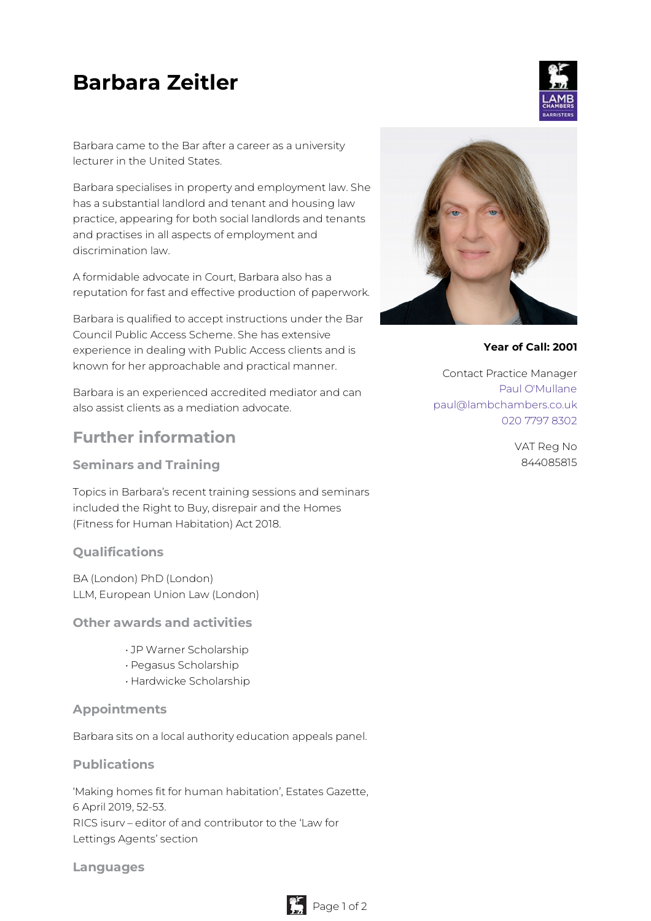# **Barbara Zeitler**

Barbara came to the Bar after a career as a university lecturer in the United States.

Barbara specialises in property and employment law. She has a substantial landlord and tenant and housing law practice, appearing for both social landlords and tenants and practises in all aspects of employment and discrimination law.

A formidable advocate in Court, Barbara also has a reputation for fast and effective production of paperwork.

Barbara is qualified to accept instructions under the Bar Council Public Access Scheme. She has extensive experience in dealing with Public Access clients and is known for her approachable and practical manner.

Barbara is an experienced accredited mediator and can also assist clients as a mediation advocate.

# **Further information**

**Seminars and Training**

Topics in Barbara's recent training sessions and seminars included the Right to Buy, disrepair and the Homes (Fitness for Human Habitation) Act 2018.

# **Qualifications**

BA (London) PhD (London) LLM, European Union Law (London)

**Other awards and activities**

- JP Warner Scholarship
- Pegasus Scholarship
- Hardwicke Scholarship

#### **Appointments**

Barbara sits on a local authority education appeals panel.

#### **Publications**

'Making homes fit for human habitation', Estates Gazette, 6 April 2019, 52-53. RICS isurv – editor of and contributor to the 'Law for Lettings Agents' section

**Languages**



**Year of Call: 2001**

Contact Practice Manager Paul [O'Mullane](mailto:paul@lambchambers.co.uk) [paul@lambchambers.co.uk](mailto:paul@lambchambers.co.uk) 020 7797 [8302](tel:020%207797%208302)

> VAT Reg No 844085815